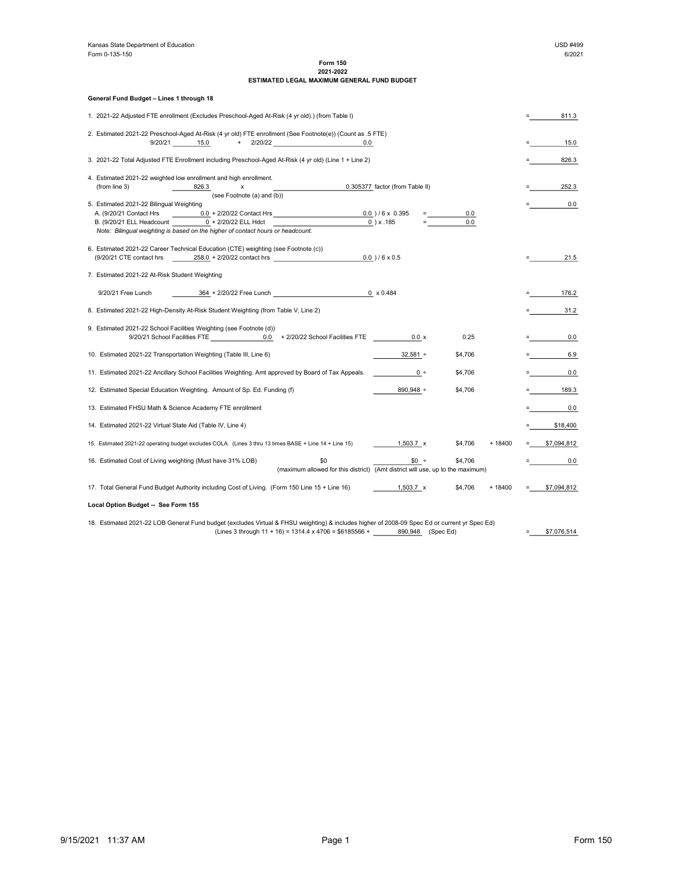## Form 150 2021-2022 ESTIMATED LEGAL MAXIMUM GENERAL FUND BUDGET

| General Fund Budget - Lines 1 through 18                                                        |                                                                                                                                                                          |  |                                                   |  |  |  |
|-------------------------------------------------------------------------------------------------|--------------------------------------------------------------------------------------------------------------------------------------------------------------------------|--|---------------------------------------------------|--|--|--|
| 1. 2021-22 Adjusted FTE enrollment (Excludes Preschool-Aged At-Risk (4 yr old).) (from Table I) |                                                                                                                                                                          |  |                                                   |  |  |  |
|                                                                                                 | 2. Estimated 2021-22 Preschool-Aged At-Risk (4 yr old) FTE enrollment (See Footnote(e)) (Count as .5 FTE)<br>9/20/21 15.0<br>+ 2/20/22<br>0.0                            |  | 15.0                                              |  |  |  |
|                                                                                                 | 3. 2021-22 Total Adjusted FTE Enrollment including Preschool-Aged At-Risk (4 yr old) (Line 1 + Line 2)                                                                   |  | 826.3                                             |  |  |  |
|                                                                                                 |                                                                                                                                                                          |  |                                                   |  |  |  |
|                                                                                                 | 4. Estimated 2021-22 weighted low enrollment and high enrollment.<br>(from line 3)<br>0.305377 factor (from Table II)<br>826.3<br>x                                      |  | 252.3                                             |  |  |  |
|                                                                                                 | (see Footnote (a) and (b))<br>5. Estimated 2021-22 Bilingual Weighting                                                                                                   |  | 0.0                                               |  |  |  |
|                                                                                                 | A. (9/20/21 Contact Hrs<br>$0.0 + 2/20/22$ Contact Hrs 0.0 ) / 6 x 0.395<br>0.0                                                                                          |  |                                                   |  |  |  |
|                                                                                                 | B. (9/20/21 ELL Headcount 0 + 2/20/22 ELL Hdct<br>$0$ ) x .185<br>0.0<br>Note: Bilingual weighting is based on the higher of contact hours or headcount.                 |  |                                                   |  |  |  |
|                                                                                                 | 6. Estimated 2021-22 Career Technical Education (CTE) weighting (see Footnote (c))                                                                                       |  |                                                   |  |  |  |
|                                                                                                 | 258.0 + 2/20/22 contact hrs<br>$0.0$ ) / 6 x 0.5<br>(9/20/21 CTE contact hrs                                                                                             |  | 21.5                                              |  |  |  |
|                                                                                                 | 7. Estimated 2021-22 At-Risk Student Weighting                                                                                                                           |  |                                                   |  |  |  |
|                                                                                                 | 364 + 2/20/22 Free Lunch<br>$0 \times 0.484$<br>9/20/21 Free Lunch                                                                                                       |  | 176.2                                             |  |  |  |
|                                                                                                 | 8. Estimated 2021-22 High-Density At-Risk Student Weighting (from Table V, Line 2)                                                                                       |  | 31.2<br><b>Experience</b>                         |  |  |  |
|                                                                                                 | 9. Estimated 2021-22 School Facilities Weighting (see Footnote (d))                                                                                                      |  |                                                   |  |  |  |
|                                                                                                 | 9/20/21 School Facilities FTE 6.0 + 2/20/22 School Facilities FTE<br>$0.0 \times$<br>0.25                                                                                |  | a na mara<br>0.0                                  |  |  |  |
|                                                                                                 | 10. Estimated 2021-22 Transportation Weighting (Table III, Line 6)<br>$32,581 +$<br>\$4,706                                                                              |  | $\blacksquare$ . The set of $\blacksquare$<br>6.9 |  |  |  |
|                                                                                                 | 11. Estimated 2021-22 Ancillary School Facilities Weighting. Amt approved by Board of Tax Appeals.<br>\$4,706<br>$0 +$                                                   |  | 0.0<br><b>E</b> Service State                     |  |  |  |
|                                                                                                 | 890,948 +<br>12. Estimated Special Education Weighting. Amount of Sp. Ed. Funding (f)<br>\$4,706                                                                         |  | 189.3<br><b>E</b> Contract of                     |  |  |  |
|                                                                                                 | 13. Estimated FHSU Math & Science Academy FTE enrollment                                                                                                                 |  | 0.0                                               |  |  |  |
|                                                                                                 | 14. Estimated 2021-22 Virtual State Aid (Table IV, Line 4)                                                                                                               |  | \$18,400                                          |  |  |  |
|                                                                                                 | 15. Estimated 2021-22 operating budget excludes COLA. (Lines 3 thru 13 times BASE + Line 14 + Line 15)<br>$1,503.7 \times$<br>\$4,706<br>$+18400$                        |  | \$7,094,812                                       |  |  |  |
|                                                                                                 | 16. Estimated Cost of Living weighting (Must have 31% LOB)<br>\$0<br>$$0 +$<br>\$4,706<br>(maximum allowed for this district) (Amt district will use, up to the maximum) |  | 0.0                                               |  |  |  |
|                                                                                                 | 17. Total General Fund Budget Authority including Cost of Living. (Form 150 Line 15 + Line 16)<br>$1,503.7 \times$<br>\$4,706<br>$+ 18400$                               |  | \$7,094,812                                       |  |  |  |
|                                                                                                 | Local Option Budget -- See Form 155                                                                                                                                      |  |                                                   |  |  |  |
|                                                                                                 | 18. Estimated 2021-22 LOB General Fund budget (excludes Virtual & FHSU weighting) & includes higher of 2008-09 Spec Ed or current yr Spec Ed)                            |  |                                                   |  |  |  |
|                                                                                                 | (Lines 3 through $11 + 16$ ) = 1314.4 x 4706 = \$6185566 +<br>890,948 (Spec Ed)                                                                                          |  | \$7,076,514                                       |  |  |  |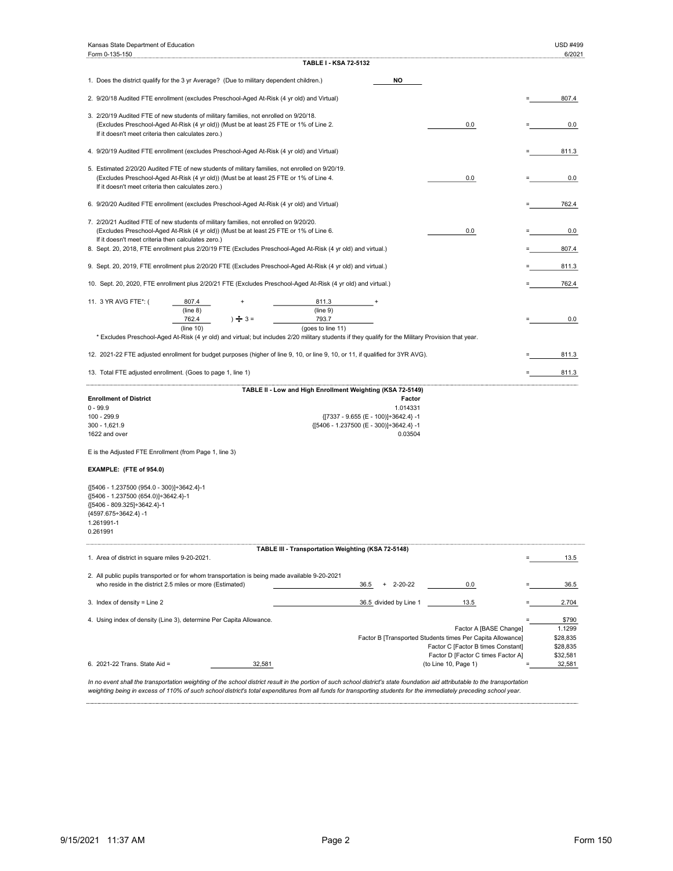| <b>TABLE I - KSA 72-5132</b><br>NO<br>1. Does the district qualify for the 3 yr Average? (Due to military dependent children.)<br>2. 9/20/18 Audited FTE enrollment (excludes Preschool-Aged At-Risk (4 yr old) and Virtual)<br>807.4<br>3. 2/20/19 Audited FTE of new students of military families, not enrolled on 9/20/18.<br>(Excludes Preschool-Aged At-Risk (4 yr old)) (Must be at least 25 FTE or 1% of Line 2.<br>0.0<br>0.0<br>If it doesn't meet criteria then calculates zero.)<br>4. 9/20/19 Audited FTE enrollment (excludes Preschool-Aged At-Risk (4 yr old) and Virtual)<br>811.3<br>5. Estimated 2/20/20 Audited FTE of new students of military families, not enrolled on 9/20/19.<br>(Excludes Preschool-Aged At-Risk (4 yr old)) (Must be at least 25 FTE or 1% of Line 4.<br>0.0<br>0.0<br>If it doesn't meet criteria then calculates zero.)<br>6. 9/20/20 Audited FTE enrollment (excludes Preschool-Aged At-Risk (4 yr old) and Virtual)<br>762.4<br>7. 2/20/21 Audited FTE of new students of military families, not enrolled on 9/20/20.<br>(Excludes Preschool-Aged At-Risk (4 yr old)) (Must be at least 25 FTE or 1% of Line 6.<br>0.0<br>0.0<br>If it doesn't meet criteria then calculates zero.)<br>8. Sept. 20, 2018, FTE enrollment plus 2/20/19 FTE (Excludes Preschool-Aged At-Risk (4 yr old) and virtual.)<br>807.4<br>9. Sept. 20, 2019, FTE enrollment plus 2/20/20 FTE (Excludes Preschool-Aged At-Risk (4 yr old) and virtual.)<br>811.3<br>10. Sept. 20, 2020, FTE enrollment plus 2/20/21 FTE (Excludes Preschool-Aged At-Risk (4 yr old) and virtual.)<br>762.4<br>11. 3 YR AVG FTE*: (<br>807.4<br>811.3<br>(line 8)<br>(line 9)<br>$\div$ 3 =<br>793.7<br>762.4<br>0.0<br>(line 10)<br>(goes to line 11)<br>* Excludes Preschool-Aged At-Risk (4 yr old) and virtual; but includes 2/20 military students if they qualify for the Military Provision that year.<br>12. 2021-22 FTE adjusted enrollment for budget purposes (higher of line 9, 10, or line 9, 10, or 11, if qualified for 3YR AVG).<br>811.3<br>13. Total FTE adjusted enrollment. (Goes to page 1, line 1)<br>811.3<br>TABLE II - Low and High Enrollment Weighting (KSA 72-5149)<br><b>Enrollment of District</b><br>Factor<br>$0 - 99.9$<br>1.014331<br>100 - 299.9<br>{[7337 - 9.655 (E - 100)]÷3642.4} -1<br>$300 - 1,621.9$<br>{[5406 - 1.237500 (E - 300)]÷3642.4} -1<br>1622 and over<br>0.03504<br>E is the Adjusted FTE Enrollment (from Page 1, line 3)<br>EXAMPLE: (FTE of 954.0)<br>{[5406 - 1.237500 (954.0 - 300)]÷3642.4}-1<br>{[5406 - 1.237500 (654.0)]÷3642.4}-1<br>{[5406 - 809.325]÷3642.4}-1<br>${4597.675 \div 3642.4}$ -1<br>1.261991-1<br>0.261991<br>TABLE III - Transportation Weighting (KSA 72-5148)<br>1. Area of district in square miles 9-20-2021.<br>13.5<br>2. All public pupils transported or for whom transportation is being made available 9-20-2021<br>who reside in the district 2.5 miles or more (Estimated)<br>$2 - 20 - 22$<br>0.0<br>36.5<br>36.5<br>3. Index of density = Line 2<br>36.5 divided by Line 1<br>13.5<br>2.704<br>\$790<br>4. Using index of density (Line 3), determine Per Capita Allowance.<br>1.1299<br>Factor A [BASE Change]<br>Factor B [Transported Students times Per Capita Allowance]<br>\$28,835<br>Factor C [Factor B times Constant]<br>\$28,835<br>Factor D [Factor C times Factor A]<br>\$32,581<br>6. 2021-22 Trans. State Aid =<br>32,581<br>(to Line 10, Page 1)<br>32,581<br>In no event shall the transportation weighting of the school district result in the portion of such school district's state foundation aid attributable to the transportation | Kansas State Department of Education<br>Form 0-135-150 |  |  |  |  | USD #499<br>6/2021 |
|-------------------------------------------------------------------------------------------------------------------------------------------------------------------------------------------------------------------------------------------------------------------------------------------------------------------------------------------------------------------------------------------------------------------------------------------------------------------------------------------------------------------------------------------------------------------------------------------------------------------------------------------------------------------------------------------------------------------------------------------------------------------------------------------------------------------------------------------------------------------------------------------------------------------------------------------------------------------------------------------------------------------------------------------------------------------------------------------------------------------------------------------------------------------------------------------------------------------------------------------------------------------------------------------------------------------------------------------------------------------------------------------------------------------------------------------------------------------------------------------------------------------------------------------------------------------------------------------------------------------------------------------------------------------------------------------------------------------------------------------------------------------------------------------------------------------------------------------------------------------------------------------------------------------------------------------------------------------------------------------------------------------------------------------------------------------------------------------------------------------------------------------------------------------------------------------------------------------------------------------------------------------------------------------------------------------------------------------------------------------------------------------------------------------------------------------------------------------------------------------------------------------------------------------------------------------------------------------------------------------------------------------------------------------------------------------------------------------------------------------------------------------------------------------------------------------------------------------------------------------------------------------------------------------------------------------------------------------------------------------------------------------------------------------------------------------------------------------------------------------------------------------------------------------------------------------------------------------------------------------------------------------------------------------------------------------------------------------------------------------------------------------------------------------------------------------------------------------------------------------------------------------------------------------------------------------------------------------------------------------------------------------------------------|--------------------------------------------------------|--|--|--|--|--------------------|
|                                                                                                                                                                                                                                                                                                                                                                                                                                                                                                                                                                                                                                                                                                                                                                                                                                                                                                                                                                                                                                                                                                                                                                                                                                                                                                                                                                                                                                                                                                                                                                                                                                                                                                                                                                                                                                                                                                                                                                                                                                                                                                                                                                                                                                                                                                                                                                                                                                                                                                                                                                                                                                                                                                                                                                                                                                                                                                                                                                                                                                                                                                                                                                                                                                                                                                                                                                                                                                                                                                                                                                                                                                                             |                                                        |  |  |  |  |                    |
|                                                                                                                                                                                                                                                                                                                                                                                                                                                                                                                                                                                                                                                                                                                                                                                                                                                                                                                                                                                                                                                                                                                                                                                                                                                                                                                                                                                                                                                                                                                                                                                                                                                                                                                                                                                                                                                                                                                                                                                                                                                                                                                                                                                                                                                                                                                                                                                                                                                                                                                                                                                                                                                                                                                                                                                                                                                                                                                                                                                                                                                                                                                                                                                                                                                                                                                                                                                                                                                                                                                                                                                                                                                             |                                                        |  |  |  |  |                    |
|                                                                                                                                                                                                                                                                                                                                                                                                                                                                                                                                                                                                                                                                                                                                                                                                                                                                                                                                                                                                                                                                                                                                                                                                                                                                                                                                                                                                                                                                                                                                                                                                                                                                                                                                                                                                                                                                                                                                                                                                                                                                                                                                                                                                                                                                                                                                                                                                                                                                                                                                                                                                                                                                                                                                                                                                                                                                                                                                                                                                                                                                                                                                                                                                                                                                                                                                                                                                                                                                                                                                                                                                                                                             |                                                        |  |  |  |  |                    |
|                                                                                                                                                                                                                                                                                                                                                                                                                                                                                                                                                                                                                                                                                                                                                                                                                                                                                                                                                                                                                                                                                                                                                                                                                                                                                                                                                                                                                                                                                                                                                                                                                                                                                                                                                                                                                                                                                                                                                                                                                                                                                                                                                                                                                                                                                                                                                                                                                                                                                                                                                                                                                                                                                                                                                                                                                                                                                                                                                                                                                                                                                                                                                                                                                                                                                                                                                                                                                                                                                                                                                                                                                                                             |                                                        |  |  |  |  |                    |
|                                                                                                                                                                                                                                                                                                                                                                                                                                                                                                                                                                                                                                                                                                                                                                                                                                                                                                                                                                                                                                                                                                                                                                                                                                                                                                                                                                                                                                                                                                                                                                                                                                                                                                                                                                                                                                                                                                                                                                                                                                                                                                                                                                                                                                                                                                                                                                                                                                                                                                                                                                                                                                                                                                                                                                                                                                                                                                                                                                                                                                                                                                                                                                                                                                                                                                                                                                                                                                                                                                                                                                                                                                                             |                                                        |  |  |  |  |                    |
|                                                                                                                                                                                                                                                                                                                                                                                                                                                                                                                                                                                                                                                                                                                                                                                                                                                                                                                                                                                                                                                                                                                                                                                                                                                                                                                                                                                                                                                                                                                                                                                                                                                                                                                                                                                                                                                                                                                                                                                                                                                                                                                                                                                                                                                                                                                                                                                                                                                                                                                                                                                                                                                                                                                                                                                                                                                                                                                                                                                                                                                                                                                                                                                                                                                                                                                                                                                                                                                                                                                                                                                                                                                             |                                                        |  |  |  |  |                    |
|                                                                                                                                                                                                                                                                                                                                                                                                                                                                                                                                                                                                                                                                                                                                                                                                                                                                                                                                                                                                                                                                                                                                                                                                                                                                                                                                                                                                                                                                                                                                                                                                                                                                                                                                                                                                                                                                                                                                                                                                                                                                                                                                                                                                                                                                                                                                                                                                                                                                                                                                                                                                                                                                                                                                                                                                                                                                                                                                                                                                                                                                                                                                                                                                                                                                                                                                                                                                                                                                                                                                                                                                                                                             |                                                        |  |  |  |  |                    |
|                                                                                                                                                                                                                                                                                                                                                                                                                                                                                                                                                                                                                                                                                                                                                                                                                                                                                                                                                                                                                                                                                                                                                                                                                                                                                                                                                                                                                                                                                                                                                                                                                                                                                                                                                                                                                                                                                                                                                                                                                                                                                                                                                                                                                                                                                                                                                                                                                                                                                                                                                                                                                                                                                                                                                                                                                                                                                                                                                                                                                                                                                                                                                                                                                                                                                                                                                                                                                                                                                                                                                                                                                                                             |                                                        |  |  |  |  |                    |
|                                                                                                                                                                                                                                                                                                                                                                                                                                                                                                                                                                                                                                                                                                                                                                                                                                                                                                                                                                                                                                                                                                                                                                                                                                                                                                                                                                                                                                                                                                                                                                                                                                                                                                                                                                                                                                                                                                                                                                                                                                                                                                                                                                                                                                                                                                                                                                                                                                                                                                                                                                                                                                                                                                                                                                                                                                                                                                                                                                                                                                                                                                                                                                                                                                                                                                                                                                                                                                                                                                                                                                                                                                                             |                                                        |  |  |  |  |                    |
|                                                                                                                                                                                                                                                                                                                                                                                                                                                                                                                                                                                                                                                                                                                                                                                                                                                                                                                                                                                                                                                                                                                                                                                                                                                                                                                                                                                                                                                                                                                                                                                                                                                                                                                                                                                                                                                                                                                                                                                                                                                                                                                                                                                                                                                                                                                                                                                                                                                                                                                                                                                                                                                                                                                                                                                                                                                                                                                                                                                                                                                                                                                                                                                                                                                                                                                                                                                                                                                                                                                                                                                                                                                             |                                                        |  |  |  |  |                    |
|                                                                                                                                                                                                                                                                                                                                                                                                                                                                                                                                                                                                                                                                                                                                                                                                                                                                                                                                                                                                                                                                                                                                                                                                                                                                                                                                                                                                                                                                                                                                                                                                                                                                                                                                                                                                                                                                                                                                                                                                                                                                                                                                                                                                                                                                                                                                                                                                                                                                                                                                                                                                                                                                                                                                                                                                                                                                                                                                                                                                                                                                                                                                                                                                                                                                                                                                                                                                                                                                                                                                                                                                                                                             |                                                        |  |  |  |  |                    |
|                                                                                                                                                                                                                                                                                                                                                                                                                                                                                                                                                                                                                                                                                                                                                                                                                                                                                                                                                                                                                                                                                                                                                                                                                                                                                                                                                                                                                                                                                                                                                                                                                                                                                                                                                                                                                                                                                                                                                                                                                                                                                                                                                                                                                                                                                                                                                                                                                                                                                                                                                                                                                                                                                                                                                                                                                                                                                                                                                                                                                                                                                                                                                                                                                                                                                                                                                                                                                                                                                                                                                                                                                                                             |                                                        |  |  |  |  |                    |
|                                                                                                                                                                                                                                                                                                                                                                                                                                                                                                                                                                                                                                                                                                                                                                                                                                                                                                                                                                                                                                                                                                                                                                                                                                                                                                                                                                                                                                                                                                                                                                                                                                                                                                                                                                                                                                                                                                                                                                                                                                                                                                                                                                                                                                                                                                                                                                                                                                                                                                                                                                                                                                                                                                                                                                                                                                                                                                                                                                                                                                                                                                                                                                                                                                                                                                                                                                                                                                                                                                                                                                                                                                                             |                                                        |  |  |  |  |                    |
|                                                                                                                                                                                                                                                                                                                                                                                                                                                                                                                                                                                                                                                                                                                                                                                                                                                                                                                                                                                                                                                                                                                                                                                                                                                                                                                                                                                                                                                                                                                                                                                                                                                                                                                                                                                                                                                                                                                                                                                                                                                                                                                                                                                                                                                                                                                                                                                                                                                                                                                                                                                                                                                                                                                                                                                                                                                                                                                                                                                                                                                                                                                                                                                                                                                                                                                                                                                                                                                                                                                                                                                                                                                             |                                                        |  |  |  |  |                    |
|                                                                                                                                                                                                                                                                                                                                                                                                                                                                                                                                                                                                                                                                                                                                                                                                                                                                                                                                                                                                                                                                                                                                                                                                                                                                                                                                                                                                                                                                                                                                                                                                                                                                                                                                                                                                                                                                                                                                                                                                                                                                                                                                                                                                                                                                                                                                                                                                                                                                                                                                                                                                                                                                                                                                                                                                                                                                                                                                                                                                                                                                                                                                                                                                                                                                                                                                                                                                                                                                                                                                                                                                                                                             |                                                        |  |  |  |  |                    |
|                                                                                                                                                                                                                                                                                                                                                                                                                                                                                                                                                                                                                                                                                                                                                                                                                                                                                                                                                                                                                                                                                                                                                                                                                                                                                                                                                                                                                                                                                                                                                                                                                                                                                                                                                                                                                                                                                                                                                                                                                                                                                                                                                                                                                                                                                                                                                                                                                                                                                                                                                                                                                                                                                                                                                                                                                                                                                                                                                                                                                                                                                                                                                                                                                                                                                                                                                                                                                                                                                                                                                                                                                                                             |                                                        |  |  |  |  |                    |
|                                                                                                                                                                                                                                                                                                                                                                                                                                                                                                                                                                                                                                                                                                                                                                                                                                                                                                                                                                                                                                                                                                                                                                                                                                                                                                                                                                                                                                                                                                                                                                                                                                                                                                                                                                                                                                                                                                                                                                                                                                                                                                                                                                                                                                                                                                                                                                                                                                                                                                                                                                                                                                                                                                                                                                                                                                                                                                                                                                                                                                                                                                                                                                                                                                                                                                                                                                                                                                                                                                                                                                                                                                                             |                                                        |  |  |  |  |                    |
|                                                                                                                                                                                                                                                                                                                                                                                                                                                                                                                                                                                                                                                                                                                                                                                                                                                                                                                                                                                                                                                                                                                                                                                                                                                                                                                                                                                                                                                                                                                                                                                                                                                                                                                                                                                                                                                                                                                                                                                                                                                                                                                                                                                                                                                                                                                                                                                                                                                                                                                                                                                                                                                                                                                                                                                                                                                                                                                                                                                                                                                                                                                                                                                                                                                                                                                                                                                                                                                                                                                                                                                                                                                             |                                                        |  |  |  |  |                    |
|                                                                                                                                                                                                                                                                                                                                                                                                                                                                                                                                                                                                                                                                                                                                                                                                                                                                                                                                                                                                                                                                                                                                                                                                                                                                                                                                                                                                                                                                                                                                                                                                                                                                                                                                                                                                                                                                                                                                                                                                                                                                                                                                                                                                                                                                                                                                                                                                                                                                                                                                                                                                                                                                                                                                                                                                                                                                                                                                                                                                                                                                                                                                                                                                                                                                                                                                                                                                                                                                                                                                                                                                                                                             |                                                        |  |  |  |  |                    |
|                                                                                                                                                                                                                                                                                                                                                                                                                                                                                                                                                                                                                                                                                                                                                                                                                                                                                                                                                                                                                                                                                                                                                                                                                                                                                                                                                                                                                                                                                                                                                                                                                                                                                                                                                                                                                                                                                                                                                                                                                                                                                                                                                                                                                                                                                                                                                                                                                                                                                                                                                                                                                                                                                                                                                                                                                                                                                                                                                                                                                                                                                                                                                                                                                                                                                                                                                                                                                                                                                                                                                                                                                                                             |                                                        |  |  |  |  |                    |
|                                                                                                                                                                                                                                                                                                                                                                                                                                                                                                                                                                                                                                                                                                                                                                                                                                                                                                                                                                                                                                                                                                                                                                                                                                                                                                                                                                                                                                                                                                                                                                                                                                                                                                                                                                                                                                                                                                                                                                                                                                                                                                                                                                                                                                                                                                                                                                                                                                                                                                                                                                                                                                                                                                                                                                                                                                                                                                                                                                                                                                                                                                                                                                                                                                                                                                                                                                                                                                                                                                                                                                                                                                                             |                                                        |  |  |  |  |                    |
|                                                                                                                                                                                                                                                                                                                                                                                                                                                                                                                                                                                                                                                                                                                                                                                                                                                                                                                                                                                                                                                                                                                                                                                                                                                                                                                                                                                                                                                                                                                                                                                                                                                                                                                                                                                                                                                                                                                                                                                                                                                                                                                                                                                                                                                                                                                                                                                                                                                                                                                                                                                                                                                                                                                                                                                                                                                                                                                                                                                                                                                                                                                                                                                                                                                                                                                                                                                                                                                                                                                                                                                                                                                             |                                                        |  |  |  |  |                    |
|                                                                                                                                                                                                                                                                                                                                                                                                                                                                                                                                                                                                                                                                                                                                                                                                                                                                                                                                                                                                                                                                                                                                                                                                                                                                                                                                                                                                                                                                                                                                                                                                                                                                                                                                                                                                                                                                                                                                                                                                                                                                                                                                                                                                                                                                                                                                                                                                                                                                                                                                                                                                                                                                                                                                                                                                                                                                                                                                                                                                                                                                                                                                                                                                                                                                                                                                                                                                                                                                                                                                                                                                                                                             |                                                        |  |  |  |  |                    |
|                                                                                                                                                                                                                                                                                                                                                                                                                                                                                                                                                                                                                                                                                                                                                                                                                                                                                                                                                                                                                                                                                                                                                                                                                                                                                                                                                                                                                                                                                                                                                                                                                                                                                                                                                                                                                                                                                                                                                                                                                                                                                                                                                                                                                                                                                                                                                                                                                                                                                                                                                                                                                                                                                                                                                                                                                                                                                                                                                                                                                                                                                                                                                                                                                                                                                                                                                                                                                                                                                                                                                                                                                                                             |                                                        |  |  |  |  |                    |
|                                                                                                                                                                                                                                                                                                                                                                                                                                                                                                                                                                                                                                                                                                                                                                                                                                                                                                                                                                                                                                                                                                                                                                                                                                                                                                                                                                                                                                                                                                                                                                                                                                                                                                                                                                                                                                                                                                                                                                                                                                                                                                                                                                                                                                                                                                                                                                                                                                                                                                                                                                                                                                                                                                                                                                                                                                                                                                                                                                                                                                                                                                                                                                                                                                                                                                                                                                                                                                                                                                                                                                                                                                                             |                                                        |  |  |  |  |                    |

weighting being in excess of 110% of such school district's total expenditures from all funds for transporting students for the immediately preceding school year.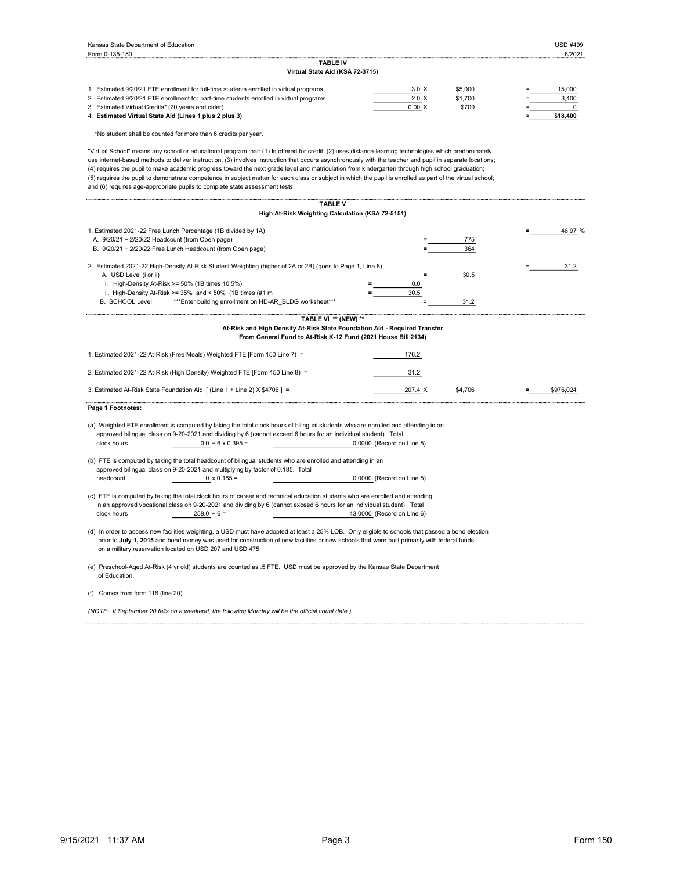| Kansas State Department of Education                                                                                                                                                                                                                                                                                                                                                                                                                                                                                                                                                                                                                                                                               |                            | <b>USD #499</b>      |
|--------------------------------------------------------------------------------------------------------------------------------------------------------------------------------------------------------------------------------------------------------------------------------------------------------------------------------------------------------------------------------------------------------------------------------------------------------------------------------------------------------------------------------------------------------------------------------------------------------------------------------------------------------------------------------------------------------------------|----------------------------|----------------------|
| Form 0-135-150<br><b>TABLE IV</b>                                                                                                                                                                                                                                                                                                                                                                                                                                                                                                                                                                                                                                                                                  |                            | 6/2021               |
| Virtual State Aid (KSA 72-3715)                                                                                                                                                                                                                                                                                                                                                                                                                                                                                                                                                                                                                                                                                    |                            |                      |
| 1. Estimated 9/20/21 FTE enrollment for full-time students enrolled in virtual programs.                                                                                                                                                                                                                                                                                                                                                                                                                                                                                                                                                                                                                           | $3.0 \times$               | 15,000<br>\$5,000    |
| 2. Estimated 9/20/21 FTE enrollment for part-time students enrolled in virtual programs.                                                                                                                                                                                                                                                                                                                                                                                                                                                                                                                                                                                                                           | 2.0 X                      | 3,400<br>\$1,700     |
| 3. Estimated Virtual Credits* (20 years and older).                                                                                                                                                                                                                                                                                                                                                                                                                                                                                                                                                                                                                                                                | 0.00 X                     | \$709<br>0           |
| 4. Estimated Virtual State Aid (Lines 1 plus 2 plus 3)                                                                                                                                                                                                                                                                                                                                                                                                                                                                                                                                                                                                                                                             |                            | \$18,400             |
| *No student shall be counted for more than 6 credits per year.                                                                                                                                                                                                                                                                                                                                                                                                                                                                                                                                                                                                                                                     |                            |                      |
| "Virtual School" means any school or educational program that: (1) Is offered for credit; (2) uses distance-learning technologies which predominately<br>use internet-based methods to deliver instruction; (3) involves instruction that occurs asynchronously with the teacher and pupil in separate locations;<br>(4) requires the pupil to make academic progress toward the next grade level and matriculation from kindergarten through high school graduation;<br>(5) requires the pupil to demonstrate competence in subject matter for each class or subject in which the pupil is enrolled as part of the virtual school;<br>and (6) requires age-appropriate pupils to complete state assessment tests. |                            |                      |
| <b>TABLE V</b>                                                                                                                                                                                                                                                                                                                                                                                                                                                                                                                                                                                                                                                                                                     |                            |                      |
| High At-Risk Weighting Calculation (KSA 72-5151)                                                                                                                                                                                                                                                                                                                                                                                                                                                                                                                                                                                                                                                                   |                            |                      |
| 1. Estimated 2021-22 Free Lunch Percentage (1B divided by 1A)                                                                                                                                                                                                                                                                                                                                                                                                                                                                                                                                                                                                                                                      |                            | 46.97 %              |
| A. 9/20/21 + 2/20/22 Headcount (from Open page)                                                                                                                                                                                                                                                                                                                                                                                                                                                                                                                                                                                                                                                                    |                            | 775                  |
| B. 9/20/21 + 2/20/22 Free Lunch Headcount (from Open page)                                                                                                                                                                                                                                                                                                                                                                                                                                                                                                                                                                                                                                                         |                            | 364                  |
| 2. Estimated 2021-22 High-Density At-Risk Student Weighting (higher of 2A or 2B) (goes to Page 1, Line 8)                                                                                                                                                                                                                                                                                                                                                                                                                                                                                                                                                                                                          |                            | 31.2                 |
| A. USD Level (i or ii)                                                                                                                                                                                                                                                                                                                                                                                                                                                                                                                                                                                                                                                                                             |                            | 30.5                 |
| i. High-Density At-Risk >= 50% (1B times 10.5%)                                                                                                                                                                                                                                                                                                                                                                                                                                                                                                                                                                                                                                                                    | 0.0                        |                      |
| ii. High-Density At-Risk >= $35\%$ and < $50\%$ (1B times (#1 mi                                                                                                                                                                                                                                                                                                                                                                                                                                                                                                                                                                                                                                                   | 30.5                       |                      |
| <b>B. SCHOOL Level</b><br>*** Enter building enrollment on HD-AR_BLDG worksheet***                                                                                                                                                                                                                                                                                                                                                                                                                                                                                                                                                                                                                                 |                            | 31.2                 |
| TABLE VI ** (NEW) **                                                                                                                                                                                                                                                                                                                                                                                                                                                                                                                                                                                                                                                                                               |                            |                      |
| At-Risk and High Density At-Risk State Foundation Aid - Required Transfer                                                                                                                                                                                                                                                                                                                                                                                                                                                                                                                                                                                                                                          |                            |                      |
| From General Fund to At-Risk K-12 Fund (2021 House Bill 2134)                                                                                                                                                                                                                                                                                                                                                                                                                                                                                                                                                                                                                                                      |                            |                      |
| 1. Estimated 2021-22 At-Risk (Free Meals) Weighted FTE [Form 150 Line 7) =                                                                                                                                                                                                                                                                                                                                                                                                                                                                                                                                                                                                                                         | 176.2                      |                      |
| 2. Estimated 2021-22 At-Risk (High Density) Weighted FTE [Form 150 Line 8) =                                                                                                                                                                                                                                                                                                                                                                                                                                                                                                                                                                                                                                       | 31.2                       |                      |
| 3. Estimated At-Risk State Foundation Aid [ (Line 1 + Line 2) X \$4706 ] =                                                                                                                                                                                                                                                                                                                                                                                                                                                                                                                                                                                                                                         | 207.4 X                    | \$4,706<br>\$976,024 |
|                                                                                                                                                                                                                                                                                                                                                                                                                                                                                                                                                                                                                                                                                                                    |                            |                      |
| Page 1 Footnotes:                                                                                                                                                                                                                                                                                                                                                                                                                                                                                                                                                                                                                                                                                                  |                            |                      |
| (a) Weighted FTE enrollment is computed by taking the total clock hours of bilingual students who are enrolled and attending in an                                                                                                                                                                                                                                                                                                                                                                                                                                                                                                                                                                                 |                            |                      |
| approved bilingual class on 9-20-2021 and dividing by 6 (cannot exceed 6 hours for an individual student). Total                                                                                                                                                                                                                                                                                                                                                                                                                                                                                                                                                                                                   |                            |                      |
| clock hours<br>$0.0 + 6 \times 0.395 =$                                                                                                                                                                                                                                                                                                                                                                                                                                                                                                                                                                                                                                                                            | 0.0000 (Record on Line 5)  |                      |
| (b) FTE is computed by taking the total headcount of bilingual students who are enrolled and attending in an                                                                                                                                                                                                                                                                                                                                                                                                                                                                                                                                                                                                       |                            |                      |
| approved bilingual class on 9-20-2021 and multiplying by factor of 0.185. Total                                                                                                                                                                                                                                                                                                                                                                                                                                                                                                                                                                                                                                    |                            |                      |
| headcount<br>$0 \times 0.185 =$                                                                                                                                                                                                                                                                                                                                                                                                                                                                                                                                                                                                                                                                                    | 0.0000 (Record on Line 5)  |                      |
|                                                                                                                                                                                                                                                                                                                                                                                                                                                                                                                                                                                                                                                                                                                    |                            |                      |
| (c) FTE is computed by taking the total clock hours of career and technical education students who are enrolled and attending<br>in an approved vocational class on 9-20-2021 and dividing by 6 (cannot exceed 6 hours for an individual student). Total                                                                                                                                                                                                                                                                                                                                                                                                                                                           |                            |                      |
| $258.0 + 6 =$<br>clock hours                                                                                                                                                                                                                                                                                                                                                                                                                                                                                                                                                                                                                                                                                       | 43.0000 (Record on Line 6) |                      |
|                                                                                                                                                                                                                                                                                                                                                                                                                                                                                                                                                                                                                                                                                                                    |                            |                      |
| (d) In order to access new facilities weighting, a USD must have adopted at least a 25% LOB. Only eligible to schools that passed a bond election                                                                                                                                                                                                                                                                                                                                                                                                                                                                                                                                                                  |                            |                      |
| prior to July 1, 2015 and bond money was used for construction of new facilities or new schools that were built primarily with federal funds<br>on a military reservation located on USD 207 and USD 475.                                                                                                                                                                                                                                                                                                                                                                                                                                                                                                          |                            |                      |
|                                                                                                                                                                                                                                                                                                                                                                                                                                                                                                                                                                                                                                                                                                                    |                            |                      |
| (e) Preschool-Aged At-Risk (4 yr old) students are counted as .5 FTE. USD must be approved by the Kansas State Department<br>of Education.                                                                                                                                                                                                                                                                                                                                                                                                                                                                                                                                                                         |                            |                      |
|                                                                                                                                                                                                                                                                                                                                                                                                                                                                                                                                                                                                                                                                                                                    |                            |                      |
| (f) Comes from form 118 (line 20).                                                                                                                                                                                                                                                                                                                                                                                                                                                                                                                                                                                                                                                                                 |                            |                      |
| (NOTE: If September 20 falls on a weekend, the following Monday will be the official count date.)                                                                                                                                                                                                                                                                                                                                                                                                                                                                                                                                                                                                                  |                            |                      |